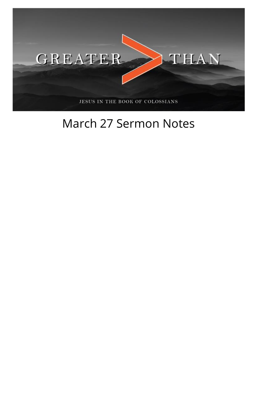

## March 27 Sermon Notes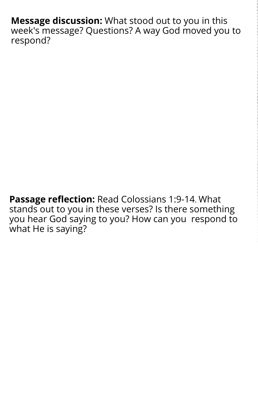**Message discussion:** What stood out to you in this week's message? Questions? A way God moved you to respond?

**Passage reflection:** Read Colossians 1:9-14. What stands out to you in these verses? Is there something you hear God saying to you? How can you respond to what He is saying?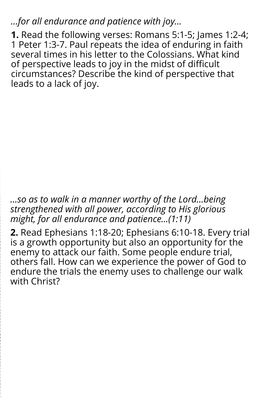*...for all endurance and patience with joy...*

**1.** Read the following verses: Romans 5:1-5; James 1:2-4; 1 Peter 1:3-7. Paul repeats the idea of enduring in faith several times in his letter to the Colossians. What kind of perspective leads to joy in the midst of difficult circumstances? Describe the kind of perspective that leads to a lack of joy.

*...so as to walk in a manner worthy of the Lord...being strengthened with all power, according to His glorious might, for all endurance and patience...(1:11)*

**2.** Read Ephesians 1:18-20; Ephesians 6:10-18. Every trial is a growth opportunity but also an opportunity for the enemy to attack our faith. Some people endure trial, others fall. How can we experience the power of God to endure the trials the enemy uses to challenge our walk with Christ?